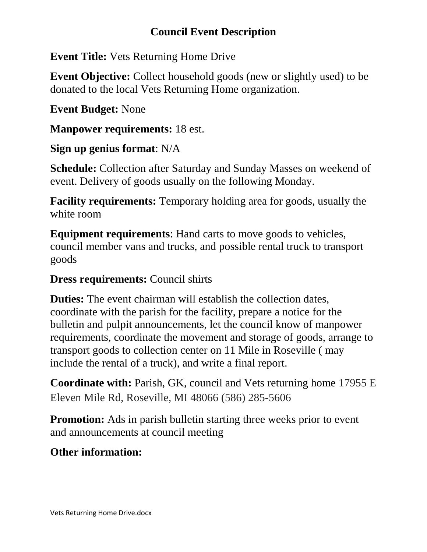# **Council Event Description**

**Event Title:** Vets Returning Home Drive

**Event Objective:** Collect household goods (new or slightly used) to be donated to the local Vets Returning Home organization.

**Event Budget:** None

**Manpower requirements:** 18 est.

# **Sign up genius format**: N/A

**Schedule:** Collection after Saturday and Sunday Masses on weekend of event. Delivery of goods usually on the following Monday.

**Facility requirements:** Temporary holding area for goods, usually the white room

**Equipment requirements**: Hand carts to move goods to vehicles, council member vans and trucks, and possible rental truck to transport goods

# **Dress requirements:** Council shirts

**Duties:** The event chairman will establish the collection dates, coordinate with the parish for the facility, prepare a notice for the bulletin and pulpit announcements, let the council know of manpower requirements, coordinate the movement and storage of goods, arrange to transport goods to collection center on 11 Mile in Roseville ( may include the rental of a truck), and write a final report.

**Coordinate with:** Parish, GK, council and Vets returning home 17955 E Eleven Mile Rd, Roseville, MI 48066 (586) 285-5606

**Promotion:** Ads in parish bullet in starting three weeks prior to event and announcements at council meeting

# **Other information:**